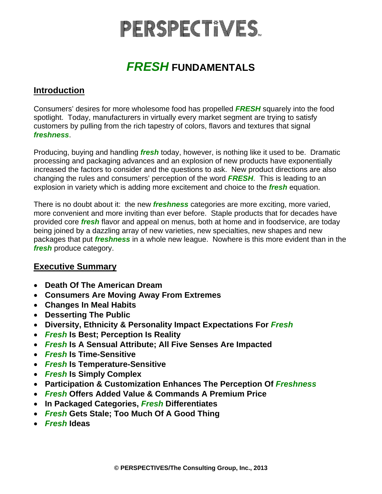# PERSPECTIVES.

### *FRESH* **FUNDAMENTALS**

### **Introduction**

Consumers' desires for more wholesome food has propelled *FRESH* squarely into the food spotlight. Today, manufacturers in virtually every market segment are trying to satisfy customers by pulling from the rich tapestry of colors, flavors and textures that signal *freshness*.

Producing, buying and handling *fresh* today, however, is nothing like it used to be. Dramatic processing and packaging advances and an explosion of new products have exponentially increased the factors to consider and the questions to ask. New product directions are also changing the rules and consumers' perception of the word *FRESH*. This is leading to an explosion in variety which is adding more excitement and choice to the *fresh* equation.

There is no doubt about it: the new *freshness* categories are more exciting, more varied, more convenient and more inviting than ever before. Staple products that for decades have provided core *fresh* flavor and appeal on menus, both at home and in foodservice, are today being joined by a dazzling array of new varieties, new specialties, new shapes and new packages that put *freshness* in a whole new league. Nowhere is this more evident than in the *fresh* produce category.

### **Executive Summary**

- **Death Of The American Dream**
- **Consumers Are Moving Away From Extremes**
- **Changes In Meal Habits**
- **Desserting The Public**
- **Diversity, Ethnicity & Personality Impact Expectations For** *Fresh*
- *Fresh* **Is Best; Perception Is Reality**
- *Fresh* **Is A Sensual Attribute; All Five Senses Are Impacted**
- *Fresh* **Is Time-Sensitive**
- *Fresh* **Is Temperature-Sensitive**
- *Fresh* **Is Simply Complex**
- **Participation & Customization Enhances The Perception Of** *Freshness*
- *Fresh* **Offers Added Value & Commands A Premium Price**
- **In Packaged Categories,** *Fresh* **Differentiates**
- *Fresh* **Gets Stale; Too Much Of A Good Thing**
- *Fresh* **Ideas**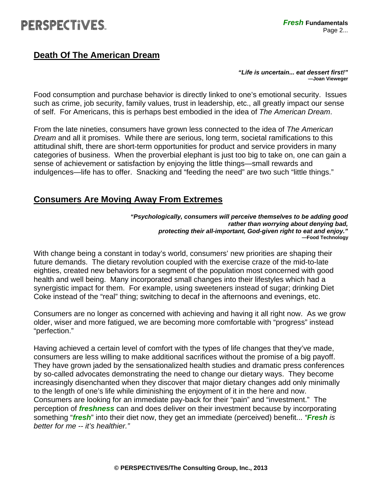### **Death Of The American Dream**

*"Life is uncertain... eat dessert first!"*  **—Joan Vieweger**

Food consumption and purchase behavior is directly linked to one's emotional security. Issues such as crime, job security, family values, trust in leadership, etc., all greatly impact our sense of self. For Americans, this is perhaps best embodied in the idea of *The American Dream*.

From the late nineties, consumers have grown less connected to the idea of *The American Dream* and all it promises. While there are serious, long term, societal ramifications to this attitudinal shift, there are short-term opportunities for product and service providers in many categories of business. When the proverbial elephant is just too big to take on, one can gain a sense of achievement or satisfaction by enjoying the little things—small rewards and indulgences—life has to offer. Snacking and "feeding the need" are two such "little things."

### **Consumers Are Moving Away From Extremes**

*"Psychologically, consumers will perceive themselves to be adding good rather than worrying about denying bad, protecting their all-important, God-given right to eat and enjoy."*   **—Food Technology** 

With change being a constant in today's world, consumers' new priorities are shaping their future demands. The dietary revolution coupled with the exercise craze of the mid-to-late eighties, created new behaviors for a segment of the population most concerned with good health and well being. Many incorporated small changes into their lifestyles which had a synergistic impact for them. For example, using sweeteners instead of sugar; drinking Diet Coke instead of the "real" thing; switching to decaf in the afternoons and evenings, etc.

Consumers are no longer as concerned with achieving and having it all right now. As we grow older, wiser and more fatigued, we are becoming more comfortable with "progress" instead "perfection."

Having achieved a certain level of comfort with the types of life changes that they've made, consumers are less willing to make additional sacrifices without the promise of a big payoff. They have grown jaded by the sensationalized health studies and dramatic press conferences by so-called advocates demonstrating the need to change our dietary ways. They become increasingly disenchanted when they discover that major dietary changes add only minimally to the length of one's life while diminishing the enjoyment of it in the here and now. Consumers are looking for an immediate pay-back for their "pain" and "investment." The perception of *freshness* can and does deliver on their investment because by incorporating something "*fresh*" into their diet now, they get an immediate (perceived) benefit... *"Fresh is better for me -- it's healthier."*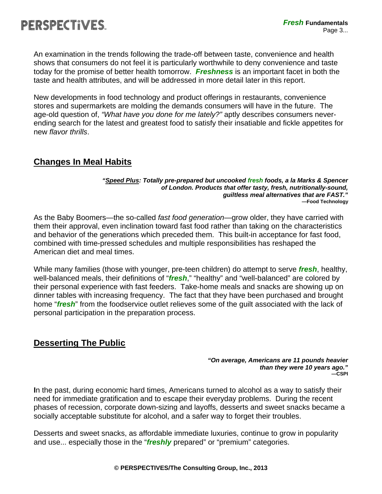

An examination in the trends following the trade-off between taste, convenience and health shows that consumers do not feel it is particularly worthwhile to deny convenience and taste today for the promise of better health tomorrow. *Freshness* is an important facet in both the taste and health attributes, and will be addressed in more detail later in this report.

New developments in food technology and product offerings in restaurants, convenience stores and supermarkets are molding the demands consumers will have in the future. The age-old question of, *"What have you done for me lately?"* aptly describes consumers neverending search for the latest and greatest food to satisfy their insatiable and fickle appetites for new *flavor thrills*.

### **Changes In Meal Habits**

#### *"Speed Plus: Totally pre-prepared but uncooked fresh foods, a la Marks & Spencer of London. Products that offer tasty, fresh, nutritionally-sound, guiltless meal alternatives that are FAST."*  **—Food Technology**

As the Baby Boomers—the so-called *fast food generation*—grow older, they have carried with them their approval, even inclination toward fast food rather than taking on the characteristics and behavior of the generations which preceded them. This built-in acceptance for fast food, combined with time-pressed schedules and multiple responsibilities has reshaped the American diet and meal times.

While many families (those with younger, pre-teen children) do attempt to serve *fresh*, healthy, well-balanced meals, their definitions of "*fresh*," "healthy" and "well-balanced" are colored by their personal experience with fast feeders. Take-home meals and snacks are showing up on dinner tables with increasing frequency. The fact that they have been purchased and brought home "*fresh*" from the foodservice outlet relieves some of the guilt associated with the lack of personal participation in the preparation process.

### **Desserting The Public**

#### *"On average, Americans are 11 pounds heavier than they were 10 years ago."*  **—CSPI**

**I**n the past, during economic hard times, Americans turned to alcohol as a way to satisfy their need for immediate gratification and to escape their everyday problems. During the recent phases of recession, corporate down-sizing and layoffs, desserts and sweet snacks became a socially acceptable substitute for alcohol, and a safer way to forget their troubles.

Desserts and sweet snacks, as affordable immediate luxuries, continue to grow in popularity and use... especially those in the "*freshly* prepared" or "premium" categories.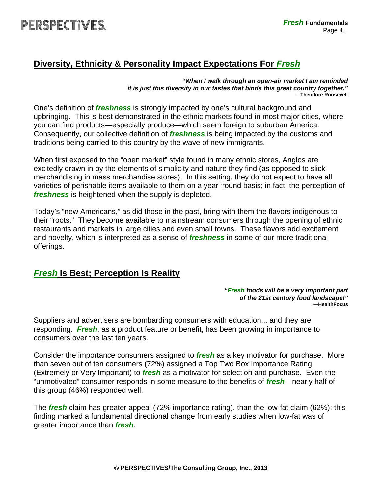### **Diversity, Ethnicity & Personality Impact Expectations For** *Fresh*

*"When I walk through an open-air market I am reminded it is just this diversity in our tastes that binds this great country together."***—Theodore Roosevelt**

One's definition of *freshness* is strongly impacted by one's cultural background and upbringing. This is best demonstrated in the ethnic markets found in most major cities, where you can find products—especially produce—which seem foreign to suburban America. Consequently, our collective definition of *freshness* is being impacted by the customs and traditions being carried to this country by the wave of new immigrants.

When first exposed to the "open market" style found in many ethnic stores, Anglos are excitedly drawn in by the elements of simplicity and nature they find (as opposed to slick merchandising in mass merchandise stores). In this setting, they do not expect to have all varieties of perishable items available to them on a year 'round basis; in fact, the perception of *freshness* is heightened when the supply is depleted.

Today's "new Americans," as did those in the past, bring with them the flavors indigenous to their "roots." They become available to mainstream consumers through the opening of ethnic restaurants and markets in large cities and even small towns. These flavors add excitement and novelty, which is interpreted as a sense of *freshness* in some of our more traditional offerings.

### *Fresh* **Is Best; Perception Is Reality**

*"Fresh foods will be a very important part of the 21st century food landscape!"*   **—HealthFocus** 

Suppliers and advertisers are bombarding consumers with education... and they are responding. *Fresh*, as a product feature or benefit, has been growing in importance to consumers over the last ten years.

Consider the importance consumers assigned to *fresh* as a key motivator for purchase. More than seven out of ten consumers (72%) assigned a Top Two Box Importance Rating (Extremely or Very Important) to *fresh* as a motivator for selection and purchase. Even the "unmotivated" consumer responds in some measure to the benefits of *fresh*—nearly half of this group (46%) responded well.

The *fresh* claim has greater appeal (72% importance rating), than the low-fat claim (62%); this finding marked a fundamental directional change from early studies when low-fat was of greater importance than *fresh*.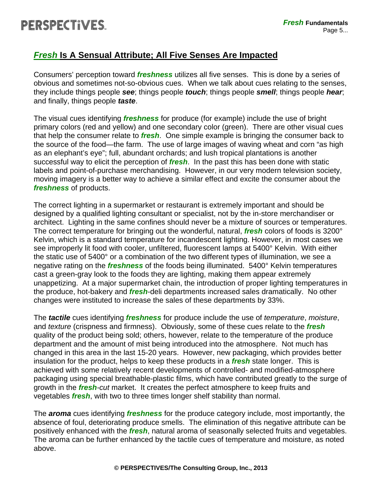# PERSPECTIVES.

### *Fresh* **Is A Sensual Attribute; All Five Senses Are Impacted**

Consumers' perception toward *freshness* utilizes all five senses. This is done by a series of obvious and sometimes not-so-obvious cues. When we talk about cues relating to the senses, they include things people *see*; things people *touch*; things people *smell*; things people *hear*; and finally, things people *taste*.

The visual cues identifying *freshness* for produce (for example) include the use of bright primary colors (red and yellow) and one secondary color (green). There are other visual cues that help the consumer relate to *fresh*. One simple example is bringing the consumer back to the source of the food—the farm. The use of large images of waving wheat and corn "as high as an elephant's eye"; full, abundant orchards; and lush tropical plantations is another successful way to elicit the perception of *fresh*. In the past this has been done with static labels and point-of-purchase merchandising. However, in our very modern television society, moving imagery is a better way to achieve a similar effect and excite the consumer about the *freshness* of products.

The correct lighting in a supermarket or restaurant is extremely important and should be designed by a qualified lighting consultant or specialist, not by the in-store merchandiser or architect. Lighting in the same confines should never be a mixture of sources or temperatures. The correct temperature for bringing out the wonderful, natural, *fresh* colors of foods is 3200° Kelvin, which is a standard temperature for incandescent lighting. However, in most cases we see improperly lit food with cooler, unfiltered, fluorescent lamps at 5400° Kelvin. With either the static use of 5400° or a combination of the two different types of illumination, we see a negative rating on the *freshness* of the foods being illuminated. 5400° Kelvin temperatures cast a green-gray look to the foods they are lighting, making them appear extremely unappetizing. At a major supermarket chain, the introduction of proper lighting temperatures in the produce, hot-bakery and *fresh*-deli departments increased sales dramatically. No other changes were instituted to increase the sales of these departments by 33%.

The *tactile* cues identifying *freshness* for produce include the use of *temperature*, *moisture*, and *texture* (crispness and firmness). Obviously, some of these cues relate to the *fresh* quality of the product being sold; others, however, relate to the temperature of the produce department and the amount of mist being introduced into the atmosphere. Not much has changed in this area in the last 15-20 years. However, new packaging, which provides better insulation for the product, helps to keep these products in a *fresh* state longer. This is achieved with some relatively recent developments of controlled- and modified-atmosphere packaging using special breathable-plastic films, which have contributed greatly to the surge of growth in the *fresh-cut* market. It creates the perfect atmosphere to keep fruits and vegetables *fresh*, with two to three times longer shelf stability than normal.

The *aroma* cues identifying *freshness* for the produce category include, most importantly, the absence of foul, deteriorating produce smells. The elimination of this negative attribute can be positively enhanced with the *fresh*, natural aroma of seasonally selected fruits and vegetables. The aroma can be further enhanced by the tactile cues of temperature and moisture, as noted above.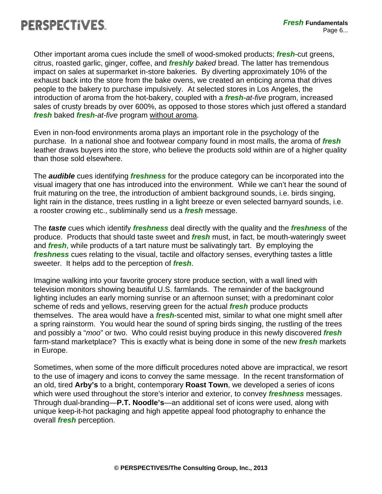

Other important aroma cues include the smell of wood-smoked products; *fresh*-cut greens, citrus, roasted garlic, ginger, coffee, and *freshly baked* bread. The latter has tremendous impact on sales at supermarket in-store bakeries. By diverting approximately 10% of the exhaust back into the store from the bake ovens, we created an enticing aroma that drives people to the bakery to purchase impulsively. At selected stores in Los Angeles, the introduction of aroma from the hot-bakery, coupled with a *fresh-at-five* program, increased sales of crusty breads by over 600%, as opposed to those stores which just offered a standard *fresh* baked *fresh-at-five* program without aroma.

Even in non-food environments aroma plays an important role in the psychology of the purchase. In a national shoe and footwear company found in most malls, the aroma of *fresh* leather draws buyers into the store, who believe the products sold within are of a higher quality than those sold elsewhere.

The *audible* cues identifying *freshness* for the produce category can be incorporated into the visual imagery that one has introduced into the environment. While we can't hear the sound of fruit maturing on the tree, the introduction of ambient background sounds, i.e. birds singing, light rain in the distance, trees rustling in a light breeze or even selected barnyard sounds, i.e. a rooster crowing etc., subliminally send us a *fresh* message.

The *taste* cues which identify *freshness* deal directly with the quality and the *freshness* of the produce. Products that should taste sweet and *fresh* must, in fact, be mouth-wateringly sweet and *fresh*, while products of a tart nature must be salivatingly tart. By employing the *freshness* cues relating to the visual, tactile and olfactory senses, everything tastes a little sweeter. It helps add to the perception of *fresh*.

Imagine walking into your favorite grocery store produce section, with a wall lined with television monitors showing beautiful U.S. farmlands. The remainder of the background lighting includes an early morning sunrise or an afternoon sunset; with a predominant color scheme of reds and yellows, reserving green for the actual *fresh* produce products themselves. The area would have a *fresh*-scented mist, similar to what one might smell after a spring rainstorm. You would hear the sound of spring birds singing, the rustling of the trees and possibly a "*moo*" or two. Who could resist buying produce in this newly discovered *fresh* farm-stand marketplace? This is exactly what is being done in some of the new *fresh* markets in Europe.

Sometimes, when some of the more difficult procedures noted above are impractical, we resort to the use of imagery and icons to convey the same message. In the recent transformation of an old, tired **Arby's** to a bright, contemporary **Roast Town**, we developed a series of icons which were used throughout the store's interior and exterior, to convey *freshness* messages. Through dual-branding—**P.T. Noodle's**—an additional set of icons were used, along with unique keep-it-hot packaging and high appetite appeal food photography to enhance the overall *fresh* perception.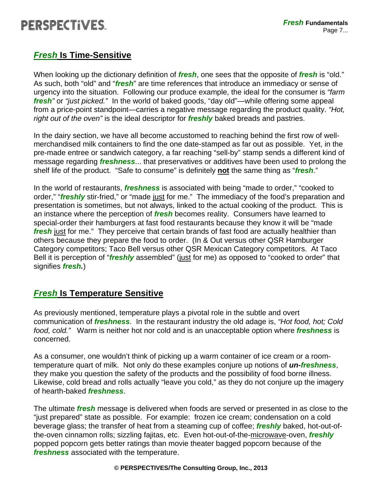## PERSPECTIVES.

### *Fresh* **Is Time-Sensitive**

When looking up the dictionary definition of *fresh*, one sees that the opposite of *fresh* is "old." As such, both "old" and "*fresh*" are time references that introduce an immediacy or sense of urgency into the situation. Following our produce example, the ideal for the consumer is *"farm fresh"* or *"just picked."* In the world of baked goods, "day old"—while offering some appeal from a price-point standpoint—carries a negative message regarding the product quality. *"Hot, right out of the oven"* is the ideal descriptor for *freshly* baked breads and pastries.

In the dairy section, we have all become accustomed to reaching behind the first row of wellmerchandised milk containers to find the one date-stamped as far out as possible. Yet, in the pre-made entree or sandwich category, a far reaching "sell-by" stamp sends a different kind of message regarding *freshness*... that preservatives or additives have been used to prolong the shelf life of the product. "Safe to consume" is definitely **not** the same thing as "*fresh*."

In the world of restaurants, *freshness* is associated with being "made to order," "cooked to order," "*freshly* stir-fried," or "made just for me." The immediacy of the food's preparation and presentation is sometimes, but not always, linked to the actual cooking of the product. This is an instance where the perception of *fresh* becomes reality. Consumers have learned to special-order their hamburgers at fast food restaurants because they know it will be "made *fresh* just for me." They perceive that certain brands of fast food are actually healthier than others because they prepare the food to order. (In & Out versus other QSR Hamburger Category competitors; Taco Bell versus other QSR Mexican Category competitors. At Taco Bell it is perception of "*freshly* assembled" (just for me) as opposed to "cooked to order" that signifies *fresh.*)

### *Fresh* **Is Temperature Sensitive**

As previously mentioned, temperature plays a pivotal role in the subtle and overt communication of *freshness*. In the restaurant industry the old adage is, *"Hot food, hot; Cold food, cold."* Warm is neither hot nor cold and is an unacceptable option where *freshness* is concerned.

As a consumer, one wouldn't think of picking up a warm container of ice cream or a roomtemperature quart of milk. Not only do these examples conjure up notions of *un-freshness*, they make you question the safety of the products and the possibility of food borne illness. Likewise, cold bread and rolls actually "leave you cold," as they do not conjure up the imagery of hearth-baked *freshness*.

The ultimate *fresh* message is delivered when foods are served or presented in as close to the "just prepared" state as possible. For example: frozen ice cream; condensation on a cold beverage glass; the transfer of heat from a steaming cup of coffee; *freshly* baked, hot-out-ofthe-oven cinnamon rolls; sizzling fajitas, etc. Even hot-out-of-the-microwave-oven, *freshly* popped popcorn gets better ratings than movie theater bagged popcorn because of the *freshness* associated with the temperature.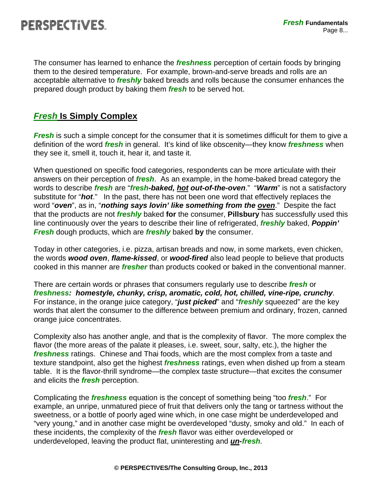The consumer has learned to enhance the *freshness* perception of certain foods by bringing them to the desired temperature. For example, brown-and-serve breads and rolls are an acceptable alternative to *freshly* baked breads and rolls because the consumer enhances the prepared dough product by baking them *fresh* to be served hot.

### *Fresh* **Is Simply Complex**

*Fresh* is such a simple concept for the consumer that it is sometimes difficult for them to give a definition of the word *fresh* in general. It's kind of like obscenity—they know *freshness* when they see it, smell it, touch it, hear it, and taste it.

When questioned on specific food categories, respondents can be more articulate with their answers on their perception of *fresh*. As an example, in the home-baked bread category the words to describe *fresh* are "*fresh-baked, hot out-of-the-oven*." "*Warm*" is not a satisfactory substitute for "*hot*." In the past, there has not been one word that effectively replaces the word "*oven*", as in, "*nothing says lovin' like something from the oven*." Despite the fact that the products are not *freshly* baked **for** the consumer, **Pillsbury** has successfully used this line continuously over the years to describe their line of refrigerated, *freshly* baked, *Poppin' Fresh* dough products, which are *freshly* baked **by** the consumer.

Today in other categories, i.e. pizza, artisan breads and now, in some markets, even chicken, the words *wood oven*, *flame-kissed*, or *wood-fired* also lead people to believe that products cooked in this manner are *fresher* than products cooked or baked in the conventional manner.

There are certain words or phrases that consumers regularly use to describe *fresh* or *freshness: homestyle, chunky, crisp, aromatic, cold, hot, chilled, vine-ripe, crunchy*. For instance, in the orange juice category, "*just picked*" and "*freshly* squeezed" are the key words that alert the consumer to the difference between premium and ordinary, frozen, canned orange juice concentrates.

Complexity also has another angle, and that is the complexity of flavor. The more complex the flavor (the more areas of the palate it pleases, i.e. sweet, sour, salty, etc.), the higher the *freshness* ratings. Chinese and Thai foods, which are the most complex from a taste and texture standpoint, also get the highest *freshness* ratings, even when dished up from a steam table. It is the flavor-thrill syndrome—the complex taste structure—that excites the consumer and elicits the *fresh* perception.

Complicating the *freshness* equation is the concept of something being "too *fresh*." For example, an unripe, unmatured piece of fruit that delivers only the tang or tartness without the sweetness, or a bottle of poorly aged wine which, in one case might be underdeveloped and "very young," and in another case might be overdeveloped "dusty, smoky and old." In each of these incidents, the complexity of the *fresh* flavor was either overdeveloped or underdeveloped, leaving the product flat, uninteresting and *un-fresh.*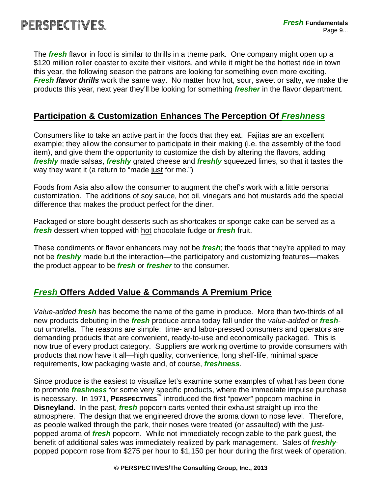The *fresh* flavor in food is similar to thrills in a theme park. One company might open up a \$120 million roller coaster to excite their visitors, and while it might be the hottest ride in town this year, the following season the patrons are looking for something even more exciting. *Fresh flavor thrills* work the same way. No matter how hot, sour, sweet or salty, we make the products this year, next year they'll be looking for something *fresher* in the flavor department.

### **Participation & Customization Enhances The Perception Of** *Freshness*

Consumers like to take an active part in the foods that they eat. Fajitas are an excellent example; they allow the consumer to participate in their making (i.e. the assembly of the food item), and give them the opportunity to customize the dish by altering the flavors, adding *freshly* made salsas, *freshly* grated cheese and *freshly* squeezed limes, so that it tastes the way they want it (a return to "made just for me.")

Foods from Asia also allow the consumer to augment the chef's work with a little personal customization. The additions of soy sauce, hot oil, vinegars and hot mustards add the special difference that makes the product perfect for the diner.

Packaged or store-bought desserts such as shortcakes or sponge cake can be served as a *fresh* dessert when topped with hot chocolate fudge or *fresh* fruit.

These condiments or flavor enhancers may not be *fresh*; the foods that they're applied to may not be *freshly* made but the interaction—the participatory and customizing features—makes the product appear to be *fresh* or *fresher* to the consumer.

### *Fresh* **Offers Added Value & Commands A Premium Price**

*Value-added fresh* has become the name of the game in produce. More than two-thirds of all new products debuting in the *fresh* produce arena today fall under the *value-added* or *freshcut* umbrella. The reasons are simple: time- and labor-pressed consumers and operators are demanding products that are convenient, ready-to-use and economically packaged. This is now true of every product category. Suppliers are working overtime to provide consumers with products that now have it all—high quality, convenience, long shelf-life, minimal space requirements, low packaging waste and, of course, *freshness*.

Since produce is the easiest to visualize let's examine some examples of what has been done to promote *freshness* for some very specific products, where the immediate impulse purchase is necessary. In 1971, **PERSPECTIVES™** introduced the first "power" popcorn machine in **Disneyland**. In the past, *fresh* popcorn carts vented their exhaust straight up into the atmosphere. The design that we engineered drove the aroma down to nose level. Therefore, as people walked through the park, their noses were treated (or assaulted) with the justpopped aroma of *fresh* popcorn. While not immediately recognizable to the park guest, the benefit of additional sales was immediately realized by park management. Sales of *freshly*popped popcorn rose from \$275 per hour to \$1,150 per hour during the first week of operation.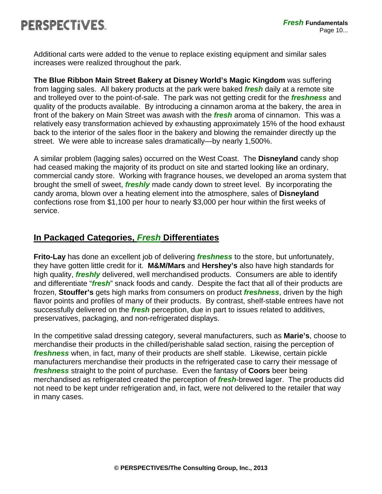Additional carts were added to the venue to replace existing equipment and similar sales increases were realized throughout the park.

**The Blue Ribbon Main Street Bakery at Disney World's Magic Kingdom** was suffering from lagging sales. All bakery products at the park were baked *fresh* daily at a remote site and trolleyed over to the point-of-sale. The park was not getting credit for the *freshness* and quality of the products available. By introducing a cinnamon aroma at the bakery, the area in front of the bakery on Main Street was awash with the *fresh* aroma of cinnamon. This was a relatively easy transformation achieved by exhausting approximately 15% of the hood exhaust back to the interior of the sales floor in the bakery and blowing the remainder directly up the street. We were able to increase sales dramatically—by nearly 1,500%.

A similar problem (lagging sales) occurred on the West Coast. The **Disneyland** candy shop had ceased making the majority of its product on site and started looking like an ordinary, commercial candy store. Working with fragrance houses, we developed an aroma system that brought the smell of sweet, *freshly* made candy down to street level. By incorporating the candy aroma, blown over a heating element into the atmosphere, sales of **Disneyland** confections rose from \$1,100 per hour to nearly \$3,000 per hour within the first weeks of service.

### **In Packaged Categories,** *Fresh* **Differentiates**

**Frito-Lay** has done an excellent job of delivering *freshness* to the store, but unfortunately, they have gotten little credit for it. **M&M/Mars** and **Hershey's** also have high standards for high quality, *freshly* delivered, well merchandised products. Consumers are able to identify and differentiate "*fresh*" snack foods and candy. Despite the fact that all of their products are frozen, **Stouffer's** gets high marks from consumers on product *freshness*, driven by the high flavor points and profiles of many of their products. By contrast, shelf-stable entrees have not successfully delivered on the *fresh* perception, due in part to issues related to additives, preservatives, packaging, and non-refrigerated displays.

In the competitive salad dressing category, several manufacturers, such as **Marie's**, choose to merchandise their products in the chilled/perishable salad section, raising the perception of *freshness* when, in fact, many of their products are shelf stable. Likewise, certain pickle manufacturers merchandise their products in the refrigerated case to carry their message of *freshness* straight to the point of purchase. Even the fantasy of **Coors** beer being merchandised as refrigerated created the perception of *fresh*-brewed lager. The products did not need to be kept under refrigeration and, in fact, were not delivered to the retailer that way in many cases.